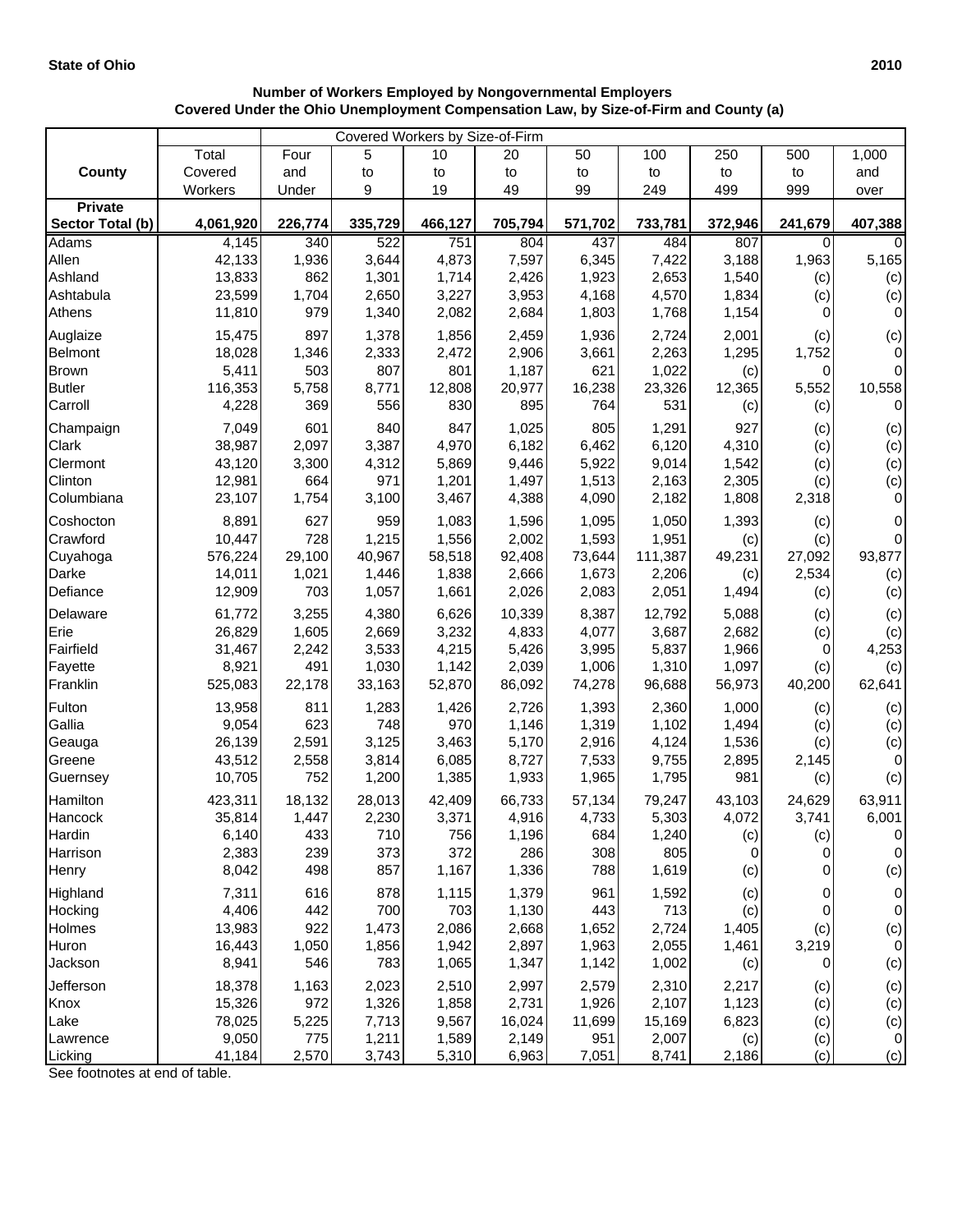|                  | Covered Workers by Size-of-Firm |              |                |                |                 |               |                 |              |            |                    |
|------------------|---------------------------------|--------------|----------------|----------------|-----------------|---------------|-----------------|--------------|------------|--------------------|
|                  | Total                           | Four         | 5              | 10             | 20              | 50            | 100             | 250          | 500        | 1,000              |
| <b>County</b>    | Covered                         | and          | to             | to             | to              | to            | to              | to           | to         | and                |
|                  | Workers                         | Under        | 9              | 19             | 49              | 99            | 249             | 499          | 999        | over               |
| <b>Private</b>   |                                 |              |                |                |                 |               |                 |              |            |                    |
| Sector Total (b) | 4,061,920                       | 226,774      | 335,729        | 466,127        | 705,794         | 571,702       | 733,781         | 372,946      | 241,679    | 407,388            |
| <b>Adams</b>     | 4,145                           | 340          | 522            | 751            | 804             | 437           | 484             | 807          | 0          | 0                  |
| Allen            | 42,133                          | 1,936        | 3,644          | 4,873          | 7,597           | 6,345         | 7,422           | 3,188        | 1,963      | 5,165              |
| Ashland          | 13,833                          | 862          | 1,301          | 1,714          | 2,426           | 1,923         | 2,653           | 1,540        | (c)        | (c)                |
| Ashtabula        | 23,599                          | 1,704<br>979 | 2,650          | 3,227          | 3,953           | 4,168         | 4,570           | 1,834        | (c)<br>0   | (c)                |
| Athens           | 11,810                          |              | 1,340          | 2,082          | 2,684           | 1,803         | 1,768           | 1,154        |            | 0                  |
| Auglaize         | 15,475                          | 897          | 1,378          | 1,856          | 2,459           | 1,936         | 2,724           | 2,001        | (c)        | (c)                |
| Belmont          | 18,028                          | 1,346        | 2,333          | 2,472          | 2,906           | 3,661         | 2,263           | 1,295        | 1,752      | $\mathbf 0$        |
| <b>Brown</b>     | 5,411                           | 503          | 807            | 801            | 1,187           | 621           | 1,022           | (c)          | 0          | $\mathbf 0$        |
| <b>Butler</b>    | 116,353                         | 5,758        | 8,771          | 12,808         | 20,977          | 16,238        | 23,326          | 12,365       | 5,552      | 10,558             |
| Carroll          | 4,228                           | 369          | 556            | 830            | 895             | 764           | 531             | (c)          | (c)        | 0                  |
| Champaign        | 7,049                           | 601          | 840            | 847            | 1,025           | 805           | 1,291           | 927          | (c)        | (c)                |
| Clark            | 38,987                          | 2,097        | 3,387          | 4,970          | 6,182           | 6,462         | 6,120           | 4,310        | (c)        | (c)                |
| Clermont         | 43,120                          | 3,300        | 4,312          | 5,869          | 9,446           | 5,922         | 9,014           | 1,542        | (c)        | (c)                |
| Clinton          | 12,981                          | 664          | 971            | 1,201          | 1,497           | 1,513         | 2,163           | 2,305        | (c)        | (c)                |
| Columbiana       | 23,107                          | 1,754        | 3,100          | 3,467          | 4,388           | 4,090         | 2,182           | 1,808        | 2,318      | $\mathbf 0$        |
| Coshocton        | 8,891                           | 627          | 959            | 1,083          | 1,596           | 1,095         | 1,050           | 1,393        | (c)        | 0                  |
| Crawford         | 10,447                          | 728          | 1,215          | 1,556          | 2,002           | 1,593         | 1,951           | (c)          | (c)        | $\mathbf 0$        |
| Cuyahoga         | 576,224                         | 29,100       | 40,967         | 58,518         | 92,408          | 73,644        | 111,387         | 49,231       | 27,092     | 93,877             |
| Darke            | 14,011                          | 1,021        | 1,446          | 1,838          | 2,666           | 1,673         | 2,206           | (c)          | 2,534      | (c)                |
| Defiance         | 12,909                          | 703          | 1,057          | 1,661          | 2,026           | 2,083         | 2,051           | 1,494        | (c)        | (c)                |
| Delaware         | 61,772                          | 3,255        | 4,380          | 6,626          | 10,339          | 8,387         | 12,792          | 5,088        | (c)        | (c)                |
| Erie             | 26,829                          | 1,605        | 2,669          | 3,232          | 4,833           | 4,077         | 3,687           | 2,682        | (c)        | (c)                |
| Fairfield        | 31,467                          | 2,242        | 3,533          | 4,215          | 5,426           | 3,995         | 5,837           | 1,966        | 0          | 4,253              |
| Fayette          | 8,921                           | 491          | 1,030          | 1,142          | 2,039           | 1,006         | 1,310           | 1,097        | (c)        | (c)                |
| Franklin         | 525,083                         | 22,178       | 33,163         | 52,870         | 86,092          | 74,278        | 96,688          | 56,973       | 40,200     | 62,641             |
| Fulton           | 13,958                          | 811          | 1,283          | 1,426          | 2,726           | 1,393         | 2,360           | 1,000        | (c)        | (c)                |
| Gallia           | 9,054                           | 623          | 748            | 970            | 1,146           | 1,319         | 1,102           | 1,494        | (c)        | (c)                |
| Geauga           | 26,139                          | 2,591        | 3,125          | 3,463          | 5,170           | 2,916         | 4,124           | 1,536        | (c)        | (c)                |
| Greene           | 43,512                          | 2,558        | 3,814          | 6,085          | 8,727           | 7,533         | 9,755           | 2,895        | 2,145      | $\pmb{0}$          |
| Guernsey         | 10,705                          | 752          | 1,200          | 1,385          | 1,933           | 1,965         | 1,795           | 981          | (c)        | (c)                |
| Hamilton         | 423,311                         | 18,132       | 28,013         | 42,409         | 66,733          | 57,134        | 79,247          | 43,103       | 24,629     | 63,911             |
| Hancock          | 35,814                          | 1,447        | 2,230          | 3,371          | 4,916           | 4,733         | 5,303           | 4,072        | 3,741      | 6,001              |
| Hardin           | 6,140                           | 433          | 710            | 756            | 1,196           | 684           | 1,240           | (c)          | (c)        | $\pmb{0}$          |
| Harrison         | 2,383                           | 239          | 373            | 372            | 286             | 308           | 805             | 0            | 0          | 0                  |
| Henry            | 8,042                           | 498          | 857            | 1,167          | 1,336           | 788           | 1,619           | (c)          | 0          | (c)                |
| Highland         | 7,311                           | 616          | 878            | 1,115          | 1,379           | 961           | 1,592           | (c)          | 0          | $\,0\,$            |
| Hocking          | 4,406                           | 442          | 700            | 703            | 1,130           | 443           | 713             | (c)          | 0          | $\,0\,$            |
| Holmes           | 13,983                          | 922          | 1,473          | 2,086          | 2,668           | 1,652         | 2,724           | 1,405        | (c)        | (c)                |
| Huron            | 16,443                          | 1,050        | 1,856          | 1,942          | 2,897           | 1,963         | 2,055           | 1,461        | 3,219      | $\pmb{0}$          |
| Jackson          | 8,941                           | 546          | 783            | 1,065          | 1,347           | 1,142         | 1,002           | (c)          | 0          | (c)                |
|                  |                                 |              |                |                |                 |               |                 |              |            |                    |
| Jefferson        | 18,378                          | 1,163        | 2,023          | 2,510          | 2,997           | 2,579         | 2,310           | 2,217        | (c)        | (c)                |
| Knox             | 15,326                          | 972          | 1,326          | 1,858          | 2,731           | 1,926         | 2,107           | 1,123        | (c)        | (c)                |
| Lake<br>Lawrence | 78,025<br>9,050                 | 5,225<br>775 | 7,713<br>1,211 | 9,567<br>1,589 | 16,024<br>2,149 | 11,699<br>951 | 15,169<br>2,007 | 6,823        | (c)        | (c)<br>$\mathbf 0$ |
| Licking          | 41,184                          | 2,570        | 3,743          | 5,310          | 6,963           | 7,051         | 8,741           | (c)<br>2,186 | (c)<br>(c) | (c)                |
|                  |                                 |              |                |                |                 |               |                 |              |            |                    |

## **Number of Workers Employed by Nongovernmental Employers Covered Under the Ohio Unemployment Compensation Law, by Size-of-Firm and County (a)**

See footnotes at end of table.